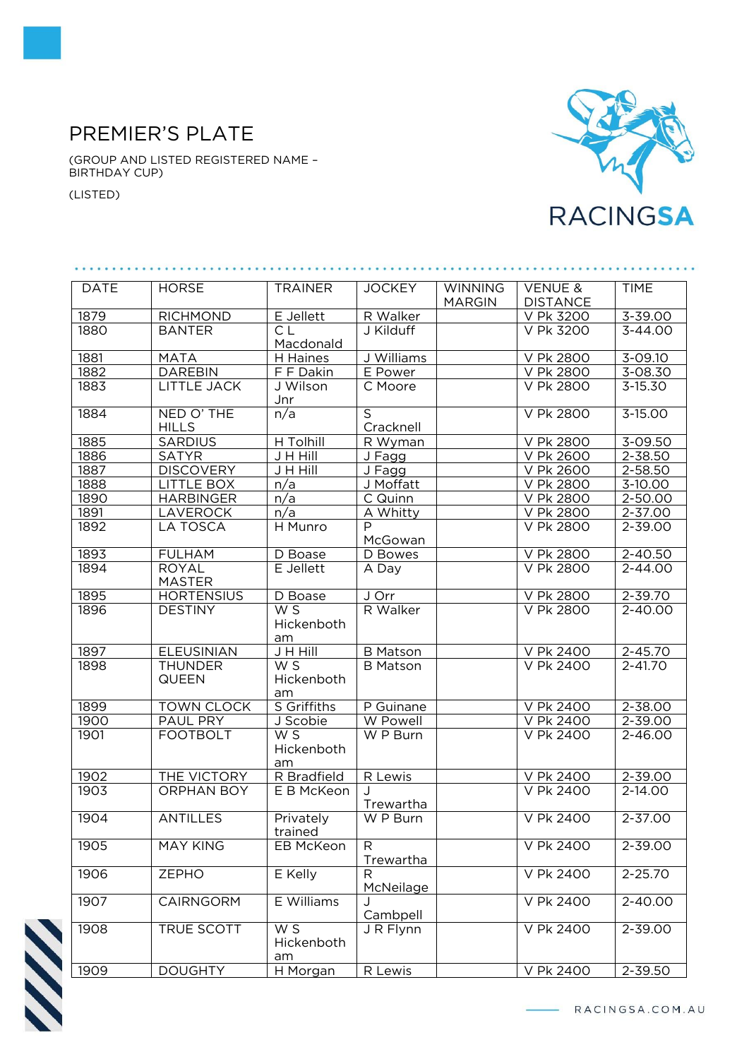## PREMIER'S PLATE

(GROUP AND LISTED REGISTERED NAME – BIRTHDAY CUP)

(LISTED)



| <b>DATE</b> | <b>HORSE</b>                   | <b>TRAINER</b>          | <b>JOCKEY</b>               | <b>WINNING</b><br><b>MARGIN</b> | <b>VENUE &amp;</b><br><b>DISTANCE</b> | <b>TIME</b> |
|-------------|--------------------------------|-------------------------|-----------------------------|---------------------------------|---------------------------------------|-------------|
| 1879        | <b>RICHMOND</b>                | E Jellett               | R Walker                    |                                 | V Pk 3200                             | $3 - 39.00$ |
| 1880        | <b>BANTER</b>                  | C.L.<br>Macdonald       | J Kilduff                   |                                 | V Pk 3200                             | $3 - 44.00$ |
| 1881        | <b>MATA</b>                    | H Haines                | J Williams                  |                                 | V Pk 2800                             | $3 - 09.10$ |
| 1882        | <b>DAREBIN</b>                 | F F Dakin               | E Power                     |                                 | V Pk 2800                             | $3 - 08.30$ |
| 1883        | <b>LITTLE JACK</b>             | J Wilson<br>Jnr         | C Moore                     |                                 | V Pk 2800                             | $3 - 15.30$ |
| 1884        | NED O' THE<br><b>HILLS</b>     | n/a                     | $\overline{S}$<br>Cracknell |                                 | V Pk 2800                             | 3-15.00     |
| 1885        | SARDIUS                        | H Tolhill               | R Wyman                     |                                 | V Pk 2800                             | 3-09.50     |
| 1886        | <b>SATYR</b>                   | J H Hill                | J Fagg                      |                                 | V Pk 2600                             | 2-38.50     |
| 1887        | <b>DISCOVERY</b>               | J H Hill                | $J$ Fagg                    |                                 | V Pk 2600                             | $2 - 58.50$ |
| 1888        | LITTLE BOX                     | n/a                     | J Moffatt                   |                                 | V Pk 2800                             | 3-10.00     |
| 1890        | <b>HARBINGER</b>               | n/a                     | C Quinn                     |                                 | V Pk 2800                             | $2 - 50.00$ |
| 1891        | <b>LAVEROCK</b>                | n/a                     | A Whitty                    |                                 | V Pk 2800                             | $2 - 37.00$ |
| 1892        | <b>LA TOSCA</b>                | H Munro                 | $\overline{P}$<br>McGowan   |                                 | V Pk 2800                             | 2-39.00     |
| 1893        | <b>FULHAM</b>                  | D Boase                 | D Bowes                     |                                 | V Pk 2800                             | 2-40.50     |
| 1894        | <b>ROYAL</b><br><b>MASTER</b>  | E Jellett               | A Day                       |                                 | V Pk 2800                             | $2 - 44.00$ |
| 1895        | <b>HORTENSIUS</b>              | D Boase                 | J Orr                       |                                 | V Pk 2800                             | 2-39.70     |
| 1896        | <b>DESTINY</b>                 | WS<br>Hickenboth<br>am  | R Walker                    |                                 | V Pk 2800                             | $2 - 40.00$ |
| 1897        | <b>ELEUSINIAN</b>              | J H Hill                | <b>B</b> Matson             |                                 | V Pk 2400                             | 2-45.70     |
| 1898        | <b>THUNDER</b><br><b>QUEEN</b> | W S<br>Hickenboth<br>am | <b>B</b> Matson             |                                 | V Pk 2400                             | $2 - 41.70$ |
| 1899        | <b>TOWN CLOCK</b>              | S Griffiths             | P Guinane                   |                                 | V Pk 2400                             | 2-38.00     |
| 1900        | PAUL PRY                       | J Scobie                | W Powell                    |                                 | V Pk 2400                             | 2-39.00     |
| 1901        | <b>FOOTBOLT</b>                | W S<br>Hickenboth<br>am | W P Burn                    |                                 | V Pk 2400                             | 2-46.00     |
| 1902        | THE VICTORY                    | R Bradfield             | R Lewis                     |                                 | V Pk 2400                             | $2 - 39.00$ |
| 1903        | <b>ORPHAN BOY</b>              | E B McKeon              | Trewartha                   |                                 | V Pk 2400                             | 2-14.00     |
| 1904        | <b>ANTILLES</b>                | Privately<br>trained    | W P Burn                    |                                 | V Pk 2400                             | $2 - 37.00$ |
| 1905        | <b>MAY KING</b>                | EB McKeon               | R<br>Trewartha              |                                 | V Pk 2400                             | $2 - 39.00$ |
| 1906        | <b>ZEPHO</b>                   | E Kelly                 | R<br>McNeilage              |                                 | V Pk 2400                             | 2-25.70     |
| 1907        | <b>CAIRNGORM</b>               | E Williams              | Cambpell                    |                                 | V Pk 2400                             | 2-40.00     |
| 1908        | TRUE SCOTT                     | WS<br>Hickenboth<br>am  | J R Flynn                   |                                 | V Pk 2400                             | 2-39.00     |
| 1909        | <b>DOUGHTY</b>                 | H Morgan                | R Lewis                     |                                 | V Pk 2400                             | 2-39.50     |

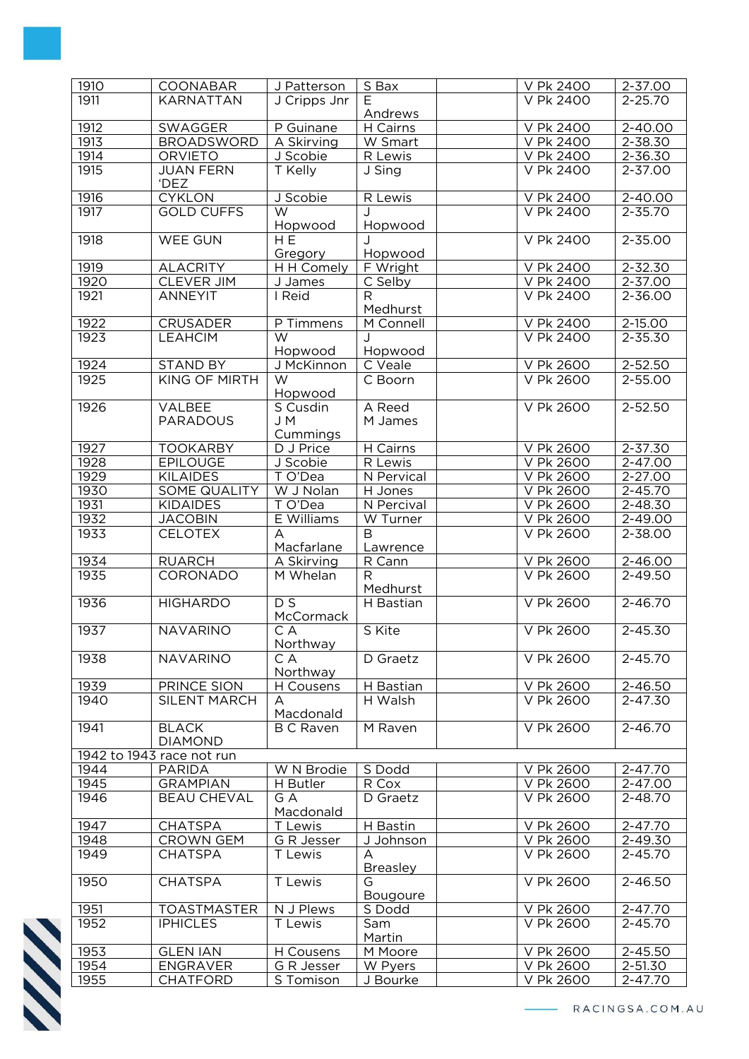| 1910 | COONABAR                  | J Patterson      | S Bax                 | V Pk 2400 | 2-37.00     |
|------|---------------------------|------------------|-----------------------|-----------|-------------|
| 1911 | KARNATTAN                 | J Cripps Jnr     | F                     | V Pk 2400 | $2 - 25.70$ |
|      |                           |                  | Andrews               |           |             |
| 1912 | <b>SWAGGER</b>            | P Guinane        | $\overline{H}$ Cairns | V Pk 2400 | $2 - 40.00$ |
| 1913 | <b>BROADSWORD</b>         | A Skirving       | W Smart               | V Pk 2400 | 2-38.30     |
|      |                           |                  |                       |           |             |
| 1914 | <b>ORVIETO</b>            | J Scobie         | R Lewis               | V Pk 2400 | 2-36.30     |
| 1915 | <b>JUAN FERN</b><br>'DEZ  | T Kelly          | J Sing                | V Pk 2400 | 2-37.00     |
| 1916 | <b>CYKLON</b>             | J Scobie         | <b>R</b> Lewis        | V Pk 2400 | $2 - 40.00$ |
| 1917 | <b>GOLD CUFFS</b>         | W                | J                     | V Pk 2400 | $2 - 35.70$ |
|      |                           | Hopwood          | Hopwood               |           |             |
| 1918 | WEE GUN                   | H <sub>E</sub>   |                       | V Pk 2400 | 2-35.00     |
|      |                           | Gregory          | Hopwood               |           |             |
|      |                           |                  |                       |           |             |
| 1919 | <b>ALACRITY</b>           | H H Comely       | F Wright              | V Pk 2400 | 2-32.30     |
| 1920 | <b>CLEVER JIM</b>         | J James          | C Selby               | V Pk 2400 | 2-37.00     |
| 1921 | <b>ANNEYIT</b>            | I Reid           | R                     | V Pk 2400 | $2 - 36.00$ |
|      |                           |                  | Medhurst              |           |             |
| 1922 | <b>CRUSADER</b>           | P Timmens        | M Connell             | V Pk 2400 | 2-15.00     |
| 1923 | <b>LEAHCIM</b>            | W                | J                     | V Pk 2400 | 2-35.30     |
|      |                           | Hopwood          | Hopwood               |           |             |
| 1924 | <b>STAND BY</b>           | J McKinnon       | C Veale               | V Pk 2600 | 2-52.50     |
| 1925 | <b>KING OF MIRTH</b>      | W                | C Boorn               | V Pk 2600 | 2-55.00     |
|      |                           | Hopwood          |                       |           |             |
| 1926 | VALBEE                    | S Cusdin         | A Reed                | V Pk 2600 | 2-52.50     |
|      | <b>PARADOUS</b>           | J M              | M James               |           |             |
|      |                           | Cummings         |                       |           |             |
|      |                           |                  |                       |           |             |
| 1927 | <b>TOOKARBY</b>           | D J Price        | $H$ Cairns            | V Pk 2600 | 2-37.30     |
| 1928 | <b>EPILOUGE</b>           | J Scobie         | R Lewis               | V Pk 2600 | 2-47.00     |
| 1929 | <b>KILAIDES</b>           | T O'Dea          | N Pervical            | V Pk 2600 | 2-27.00     |
| 1930 | SOME QUALITY              | W J Nolan        | H Jones               | V Pk 2600 | 2-45.70     |
| 1931 | <b>KIDAIDES</b>           | T O'Dea          | N Percival            | V Pk 2600 | 2-48.30     |
| 1932 | <b>JACOBIN</b>            | E Williams       | W Turner              | V Pk 2600 | 2-49.00     |
| 1933 | <b>CELOTEX</b>            | A                | B                     | V Pk 2600 | 2-38.00     |
|      |                           | Macfarlane       | Lawrence              |           |             |
| 1934 | <b>RUARCH</b>             | A Skirving       | R Cann                | V Pk 2600 | 2-46.00     |
| 1935 | CORONADO                  | M Whelan         | R                     | V Pk 2600 | $2 - 49.50$ |
|      |                           |                  | Medhurst              |           |             |
| 1936 | <b>HIGHARDO</b>           | $\overline{DS}$  | H Bastian             | V Pk 2600 | 2-46.70     |
|      |                           | McCormack        |                       |           |             |
|      |                           |                  |                       |           |             |
| 1937 | <b>NAVARINO</b>           | C A              | S Kite                | V Pk 2600 | $2 - 45.30$ |
|      |                           | Northway         |                       |           |             |
| 1938 | <b>NAVARINO</b>           | C A              | D Graetz              | V Pk 2600 | 2-45.70     |
|      |                           | Northway         |                       |           |             |
| 1939 | PRINCE SION               | H Cousens        | H Bastian             | V Pk 2600 | $2 - 46.50$ |
| 1940 | <b>SILENT MARCH</b>       | A                | H Walsh               | V Pk 2600 | 2-47.30     |
|      |                           | Macdonald        |                       |           |             |
| 1941 | <b>BLACK</b>              | <b>B C Raven</b> | M Raven               | V Pk 2600 | 2-46.70     |
|      | <b>DIAMOND</b>            |                  |                       |           |             |
|      | 1942 to 1943 race not run |                  |                       |           |             |
| 1944 | <b>PARIDA</b>             | W N Brodie       | S Dodd                | V Pk 2600 | $2 - 47.70$ |
| 1945 | <b>GRAMPIAN</b>           | H Butler         | R Cox                 | V Pk 2600 | 2-47.00     |
| 1946 | <b>BEAU CHEVAL</b>        | G A              | D Graetz              | V Pk 2600 | 2-48.70     |
|      |                           |                  |                       |           |             |
|      |                           | Macdonald        |                       |           |             |
| 1947 | <b>CHATSPA</b>            | T Lewis          | H Bastin              | V Pk 2600 | 2-47.70     |
| 1948 | <b>CROWN GEM</b>          | G R Jesser       | J Johnson             | V Pk 2600 | 2-49.30     |
| 1949 | <b>CHATSPA</b>            | T Lewis          | A                     | V Pk 2600 | 2-45.70     |
|      |                           |                  | <b>Breasley</b>       |           |             |
| 1950 | <b>CHATSPA</b>            | T Lewis          | G                     | V Pk 2600 | 2-46.50     |
|      |                           |                  | <b>Bougoure</b>       |           |             |
| 1951 | <b>TOASTMASTER</b>        | N J Plews        | S Dodd                | V Pk 2600 | 2-47.70     |
| 1952 | <b>IPHICLES</b>           | T Lewis          | Sam                   | V Pk 2600 | 2-45.70     |
|      |                           |                  | Martin                |           |             |
| 1953 | <b>GLEN IAN</b>           | H Cousens        | M Moore               | V Pk 2600 | 2-45.50     |
| 1954 | <b>ENGRAVER</b>           | G R Jesser       | W Pyers               | V Pk 2600 | 2-51.30     |
| 1955 | <b>CHATFORD</b>           | S Tomison        | J Bourke              | V Pk 2600 | 2-47.70     |
|      |                           |                  |                       |           |             |

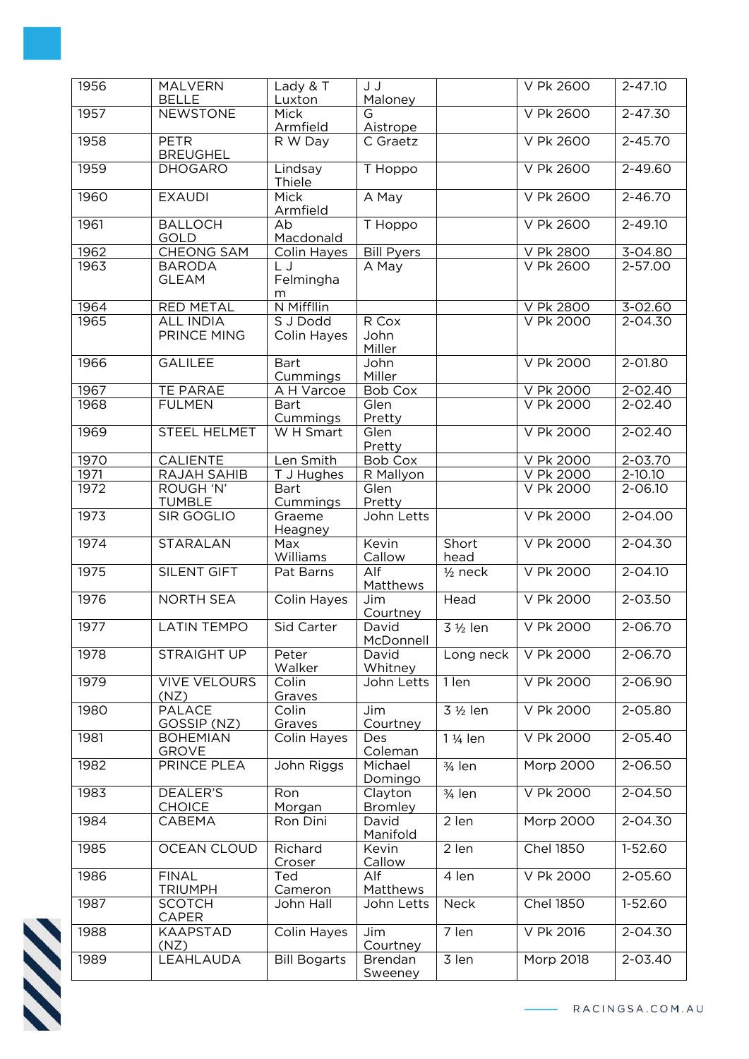| 1956 | <b>MALVERN</b><br><b>BELLE</b>    | Lady & T<br>Luxton             | J J<br>Maloney             |                       | V Pk 2600        | $2 - 47.10$ |
|------|-----------------------------------|--------------------------------|----------------------------|-----------------------|------------------|-------------|
| 1957 | <b>NEWSTONE</b>                   | Mick<br>Armfield               | $\overline{G}$<br>Aistrope |                       | V Pk 2600        | $2 - 47.30$ |
| 1958 | <b>PETR</b><br><b>BREUGHEL</b>    | R W Day                        | $\overline{C}$ Graetz      |                       | V Pk 2600        | $2 - 45.70$ |
| 1959 | <b>DHOGARO</b>                    | Lindsay<br>Thiele              | T Hoppo                    |                       | V Pk 2600        | 2-49.60     |
| 1960 | <b>EXAUDI</b>                     | Mick<br>Armfield               | A May                      |                       | V Pk 2600        | $2 - 46.70$ |
| 1961 | <b>BALLOCH</b><br>GOLD            | Ab<br>Macdonald                | T Hoppo                    |                       | V Pk 2600        | 2-49.10     |
| 1962 | <b>CHEONG SAM</b>                 | Colin Hayes                    | <b>Bill Pyers</b>          |                       | V Pk 2800        | 3-04.80     |
| 1963 | <b>BARODA</b><br><b>GLEAM</b>     | L J<br>Felmingha<br>m          | A May                      |                       | V Pk 2600        | $2 - 57.00$ |
| 1964 | <b>RED METAL</b>                  | N Miffllin                     |                            |                       | V Pk 2800        | 3-02.60     |
| 1965 | <b>ALL INDIA</b><br>PRINCE MING   | S J Dodd<br><b>Colin Hayes</b> | R Cox<br>John<br>Miller    |                       | V Pk 2000        | 2-04.30     |
| 1966 | <b>GALILEE</b>                    | <b>Bart</b><br>Cummings        | John<br>Miller             |                       | V Pk 2000        | $2 - 01.80$ |
| 1967 | TE PARAE                          | A H Varcoe                     | <b>Bob Cox</b>             |                       | V Pk 2000        | 2-02.40     |
| 1968 | <b>FULMEN</b>                     | <b>Bart</b><br>Cummings        | Glen<br>Pretty             |                       | V Pk 2000        | $2 - 02.40$ |
| 1969 | STEEL HELMET                      | W H Smart                      | Glen<br>Pretty             |                       | V Pk 2000        | 2-02.40     |
| 1970 | <b>CALIENTE</b>                   | Len Smith                      | <b>Bob Cox</b>             |                       | V Pk 2000        | $2 - 03.70$ |
| 1971 | <b>RAJAH SAHIB</b>                | T J Hughes                     | R Mallyon                  |                       | V Pk 2000        | $2 - 10.10$ |
| 1972 | <b>ROUGH 'N'</b><br><b>TUMBLE</b> | <b>Bart</b><br>Cummings        | Glen<br>Pretty             |                       | V Pk 2000        | 2-06.10     |
| 1973 | <b>SIR GOGLIO</b>                 | Graeme<br>Heagney              | John Letts                 |                       | V Pk 2000        | 2-04.00     |
| 1974 | <b>STARALAN</b>                   | Max<br>Williams                | Kevin<br>Callow            | Short<br>head         | V Pk 2000        | $2 - 04.30$ |
| 1975 | <b>SILENT GIFT</b>                | Pat Barns                      | Alf<br>Matthews            | $1/2$ neck            | V Pk 2000        | $2 - 04.10$ |
| 1976 | <b>NORTH SEA</b>                  | <b>Colin Hayes</b>             | Jim<br>Courtney            | Head                  | V Pk 2000        | 2-03.50     |
| 1977 | <b>LATIN TEMPO</b>                | <b>Sid Carter</b>              | David<br>McDonnell         | 3 1/2 len             | V Pk 2000        | $2 - 06.70$ |
| 1978 | STRAIGHT UP                       | Peter<br>Walker                | David<br>Whitney           | Long neck             | V Pk 2000        | $2 - 06.70$ |
| 1979 | <b>VIVE VELOURS</b><br>(NZ)       | Colin<br>Graves                | John Letts                 | 1 len                 | V Pk 2000        | 2-06.90     |
| 1980 | <b>PALACE</b><br>GOSSIP (NZ)      | Colin<br>Graves                | Jim<br>Courtney            | 3 1/2 len             | V Pk 2000        | $2 - 05.80$ |
| 1981 | <b>BOHEMIAN</b><br><b>GROVE</b>   | Colin Hayes                    | Des<br>Coleman             | 1 1/ <sub>4</sub> len | V Pk 2000        | $2 - 05.40$ |
| 1982 | PRINCE PLEA                       | John Riggs                     | Michael<br>Domingo         | $3/4$ len             | Morp 2000        | 2-06.50     |
| 1983 | DEALER'S<br><b>CHOICE</b>         | Ron<br>Morgan                  | Clayton<br><b>Bromley</b>  | 3/ <sub>4</sub> len   | V Pk 2000        | $2 - 04.50$ |
| 1984 | CABEMA                            | Ron Dini                       | David<br>Manifold          | 2 len                 | Morp 2000        | 2-04.30     |
| 1985 | <b>OCEAN CLOUD</b>                | Richard<br>Croser              | Kevin<br>Callow            | 2 len                 | <b>Chel 1850</b> | 1-52.60     |
| 1986 | <b>FINAL</b><br><b>TRIUMPH</b>    | Ted<br>Cameron                 | Alf<br>Matthews            | 4 len                 | V Pk 2000        | $2 - 05.60$ |
| 1987 | <b>SCOTCH</b><br><b>CAPER</b>     | John Hall                      | John Letts                 | Neck                  | <b>Chel 1850</b> | $1-52.60$   |
| 1988 | <b>KAAPSTAD</b><br>(NZ)           | Colin Hayes                    | Jim<br>Courtney            | 7 len                 | V Pk 2016        | 2-04.30     |
| 1989 | LEAHLAUDA                         | <b>Bill Bogarts</b>            | <b>Brendan</b><br>Sweeney  | $\overline{3}$ len    | <b>Morp 2018</b> | $2 - 03.40$ |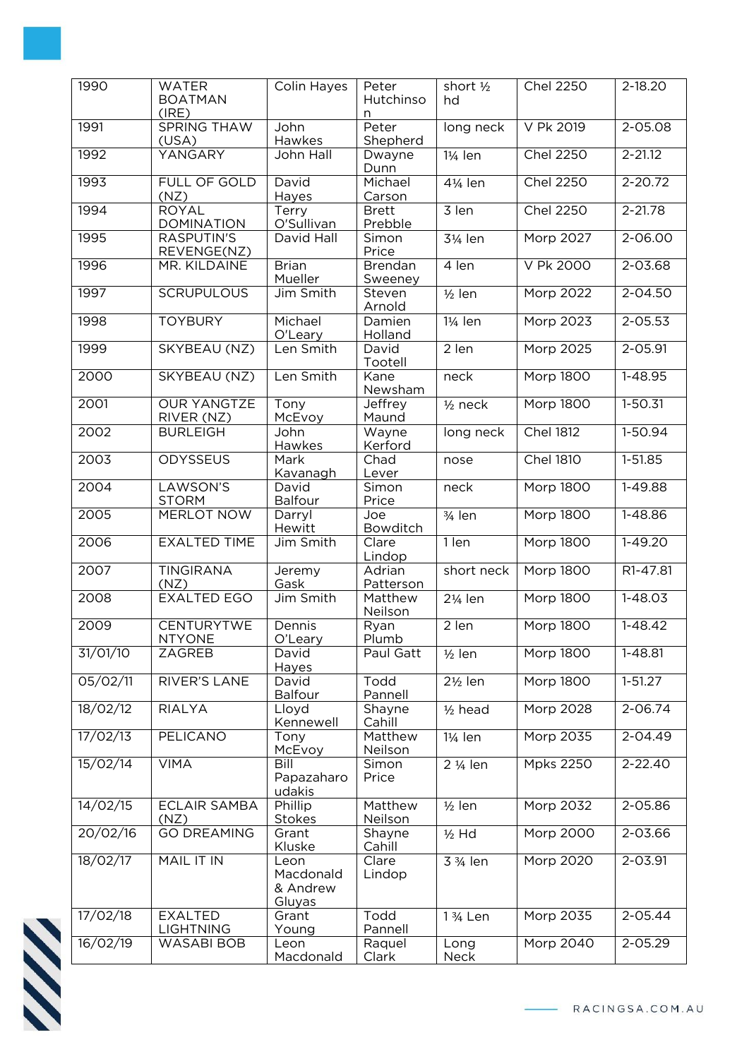| 1990     | <b>WATER</b><br><b>BOATMAN</b><br>(IRE) | Colin Hayes                             | Peter<br>Hutchinso<br>n   | short 1/2<br>hd       | <b>Chel 2250</b> | 2-18.20     |
|----------|-----------------------------------------|-----------------------------------------|---------------------------|-----------------------|------------------|-------------|
| 1991     | <b>SPRING THAW</b><br>(USA)             | John<br>Hawkes                          | Peter<br>Shepherd         | long neck             | V Pk 2019        | 2-05.08     |
| 1992     | YANGARY                                 | John Hall                               | Dwayne<br>Dunn            | 11/ <sub>4</sub> len  | <b>Chel 2250</b> | $2 - 21.12$ |
| 1993     | FULL OF GOLD<br>(NZ)                    | David<br>Hayes                          | Michael<br>Carson         | 41/ <sub>4</sub> len  | <b>Chel 2250</b> | 2-20.72     |
| 1994     | <b>ROYAL</b><br><b>DOMINATION</b>       | Terry<br>O'Sullivan                     | <b>Brett</b><br>Prebble   | 3 len                 | <b>Chel 2250</b> | $2 - 21.78$ |
| 1995     | <b>RASPUTIN'S</b><br>REVENGE(NZ)        | David Hall                              | Simon<br>Price            | 31/ <sub>4</sub> len  | Morp 2027        | $2 - 06.00$ |
| 1996     | MR. KILDAINE                            | <b>Brian</b><br>Mueller                 | <b>Brendan</b><br>Sweeney | 4 len                 | V Pk 2000        | $2 - 03.68$ |
| 1997     | <b>SCRUPULOUS</b>                       | Jim Smith                               | Steven<br>Arnold          | $1/2$ len             | Morp 2022        | 2-04.50     |
| 1998     | <b>TOYBURY</b>                          | Michael<br>O'Leary                      | Damien<br>Holland         | 1¼ len                | Morp 2023        | $2 - 05.53$ |
| 1999     | SKYBEAU (NZ)                            | Len Smith                               | David<br>Tootell          | 2 len                 | Morp 2025        | 2-05.91     |
| 2000     | SKYBEAU (NZ)                            | Len Smith                               | Kane<br>Newsham           | neck                  | <b>Morp 1800</b> | 1-48.95     |
| 2001     | <b>OUR YANGTZE</b><br>RIVER (NZ)        | Tony<br>McEvoy                          | Jeffrey<br>Maund          | $1/2$ neck            | <b>Morp 1800</b> | $1 - 50.31$ |
| 2002     | <b>BURLEIGH</b>                         | John<br>Hawkes                          | Wayne<br>Kerford          | long neck             | <b>Chel 1812</b> | $1-50.94$   |
| 2003     | <b>ODYSSEUS</b>                         | Mark<br><u>Kavanagh</u>                 | Chad<br>Lever             | nose                  | <b>Chel 1810</b> | $1 - 51.85$ |
| 2004     | LAWSON'S<br><b>STORM</b>                | David<br>Balfour                        | Simon<br>Price            | neck                  | Morp 1800        | 1-49.88     |
| 2005     | MERLOT NOW                              | Darryl<br>Hewitt                        | Joe<br>Bowditch           | $\frac{3}{4}$ len     | Morp 1800        | 1-48.86     |
| 2006     | <b>EXALTED TIME</b>                     | Jim Smith                               | Clare<br>Lindop           | $1$ len               | <b>Morp 1800</b> | $1 - 49.20$ |
| 2007     | <b>TINGIRANA</b><br>(NZ)                | Jeremy<br>Gask                          | Adrian<br>Patterson       | short neck            | Morp 1800        | R1-47.81    |
| 2008     | <b>EXALTED EGO</b>                      | Jim Smith                               | Matthew<br>Neilson        | 21/ <sub>4</sub> len  | Morp 1800        | $1 - 48.03$ |
| 2009     | <b>CENTURYTWE</b><br><b>NTYONE</b>      | Dennis<br>O'Leary                       | Ryan<br>Plumb             | 2 len                 | <b>Morp 1800</b> | $1 - 48.42$ |
| 31/01/10 | ZAGREB                                  | David<br>Hayes                          | Paul Gatt                 | $1/2$ len             | <b>Morp 1800</b> | 1-48.81     |
| 05/02/11 | RIVER'S LANE                            | David<br><b>Balfour</b>                 | Todd<br>Pannell           | $2\frac{1}{2}$ len    | Morp 1800        | $1 - 51.27$ |
| 18/02/12 | <b>RIALYA</b>                           | Lloyd<br>Kennewell                      | Shayne<br>Cahill          | $1/2$ head            | <b>Morp 2028</b> | $2 - 06.74$ |
| 17/02/13 | <b>PELICANO</b>                         | Tony<br>McEvoy                          | Matthew<br>Neilson        | 11/ <sub>4</sub> len  | Morp 2035        | 2-04.49     |
| 15/02/14 | <b>VIMA</b>                             | Bill<br>Papazaharo<br>udakis            | Simon<br>Price            | 2 1/ <sub>4</sub> len | <b>Mpks 2250</b> | $2 - 22.40$ |
| 14/02/15 | <b>ECLAIR SAMBA</b><br>(NZ)             | Phillip<br>Stokes                       | Matthew<br>Neilson        | $1/2$ len             | Morp 2032        | 2-05.86     |
| 20/02/16 | <b>GO DREAMING</b>                      | Grant<br>Kluske                         | Shayne<br>Cahill          | $1/2$ Hd              | <b>Morp 2000</b> | $2 - 03.66$ |
| 18/02/17 | MAIL IT IN                              | Leon<br>Macdonald<br>& Andrew<br>Gluyas | Clare<br>Lindop           | 3 3/ <sub>4</sub> len | Morp 2020        | 2-03.91     |
| 17/02/18 | <b>EXALTED</b><br><b>LIGHTNING</b>      | Grant<br>Young                          | Todd<br>Pannell           | 1 3/ <sub>4</sub> Len | Morp 2035        | $2 - 05.44$ |
| 16/02/19 | WASABI BOB                              | Leon<br>Macdonald                       | Raquel<br>Clark           | Long<br>Neck          | Morp 2040        | 2-05.29     |